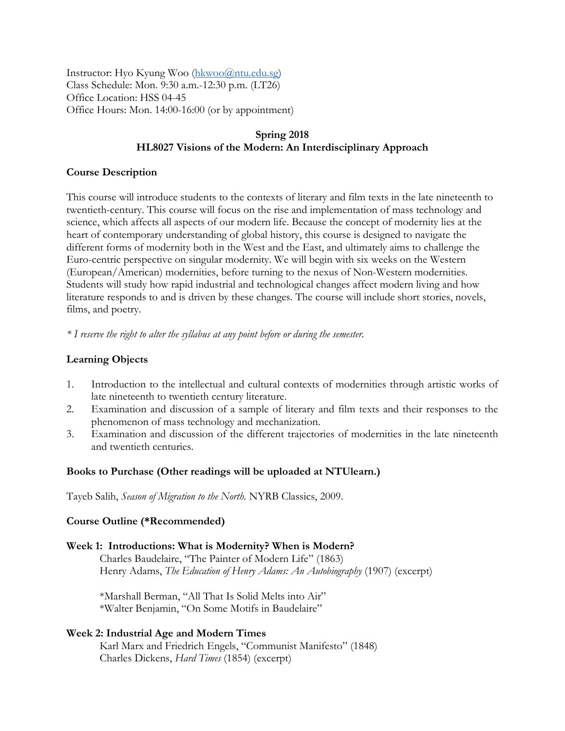Instructor: Hyo Kyung Woo [\(hkwoo@ntu.edu.sg\)](mailto:hkwoo@ntu.edu.sg) Class Schedule: Mon. 9:30 a.m.-12:30 p.m. (LT26) Office Location: HSS 04-45 Office Hours: Mon. 14:00-16:00 (or by appointment)

# **Spring 2018 HL8027 Visions of the Modern: An Interdisciplinary Approach**

# **Course Description**

This course will introduce students to the contexts of literary and film texts in the late nineteenth to twentieth-century. This course will focus on the rise and implementation of mass technology and science, which affects all aspects of our modern life. Because the concept of modernity lies at the heart of contemporary understanding of global history, this course is designed to navigate the different forms of modernity both in the West and the East, and ultimately aims to challenge the Euro-centric perspective on singular modernity. We will begin with six weeks on the Western (European/American) modernities, before turning to the nexus of Non-Western modernities. Students will study how rapid industrial and technological changes affect modern living and how literature responds to and is driven by these changes. The course will include short stories, novels, films, and poetry.

*\* I reserve the right to alter the syllabus at any point before or during the semester.*

# **Learning Objects**

- 1. Introduction to the intellectual and cultural contexts of modernities through artistic works of late nineteenth to twentieth century literature.
- 2. Examination and discussion of a sample of literary and film texts and their responses to the phenomenon of mass technology and mechanization.
- 3. Examination and discussion of the different trajectories of modernities in the late nineteenth and twentieth centuries.

## **Books to Purchase (Other readings will be uploaded at NTUlearn.)**

Tayeb Salih, *Season of Migration to the North.* NYRB Classics, 2009.

## **Course Outline (\*Recommended)**

## **Week 1: Introductions: What is Modernity? When is Modern?**

Charles Baudelaire, "The Painter of Modern Life" (1863) Henry Adams, *The Education of Henry Adams: An Autobiography* (1907) (excerpt)

\*Marshall Berman, "All That Is Solid Melts into Air" \*Walter Benjamin, "On Some Motifs in Baudelaire"

## **Week 2: Industrial Age and Modern Times**

Karl Marx and Friedrich Engels, "Communist Manifesto" (1848) Charles Dickens, *Hard Times* (1854) (excerpt)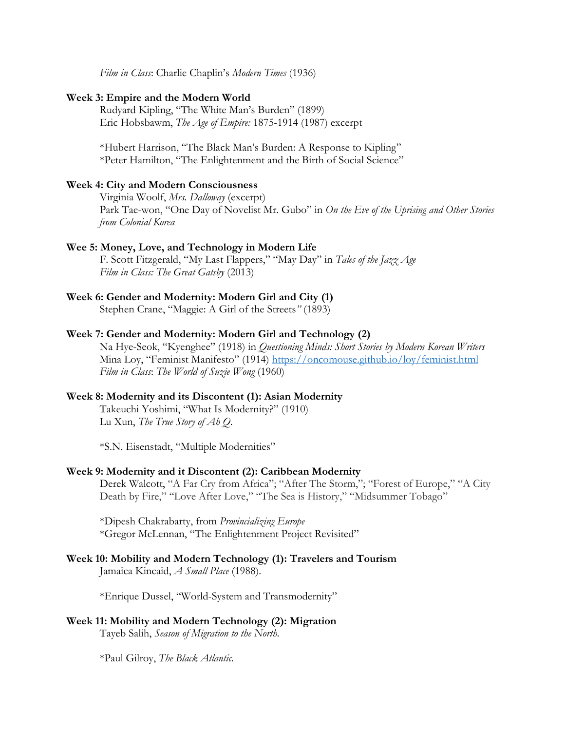*Film in Class*: Charlie Chaplin's *Modern Times* (1936)

#### **Week 3: Empire and the Modern World**

Rudyard Kipling, "The White Man's Burden" (1899) Eric Hobsbawm, *The Age of Empire:* 1875-1914 (1987) excerpt

\*Hubert Harrison, "The Black Man's Burden: A Response to Kipling" \*Peter Hamilton, "The Enlightenment and the Birth of Social Science"

#### **Week 4: City and Modern Consciousness**

Virginia Woolf, *Mrs. Dalloway* (excerpt) Park Tae-won, "One Day of Novelist Mr. Gubo" in *On the Eve of the Uprising and Other Stories from Colonial Korea*

#### **Wee 5: Money, Love, and Technology in Modern Life**

F. Scott Fitzgerald, "My Last Flappers," "May Day" in *Tales of the Jazz Age Film in Class: The Great Gatsby* (2013)

#### **Week 6: Gender and Modernity: Modern Girl and City (1)**

Stephen Crane, "Maggie: A Girl of the Streets*"* (1893)

## **Week 7: Gender and Modernity: Modern Girl and Technology (2)**

Na Hye-Seok, "Kyenghee" (1918) in *Questioning Minds: Short Stories by Modern Korean Writers* Mina Loy, "Feminist Manifesto" (1914) <https://oncomouse.github.io/loy/feminist.html> *Film in Class*: *The World of Suzie Wong* (1960)

# **Week 8: Modernity and its Discontent (1): Asian Modernity**

Takeuchi Yoshimi, "What Is Modernity?" (1910) Lu Xun, *The True Story of Ah Q*.

\*S.N. Eisenstadt, "Multiple Modernities"

## **Week 9: Modernity and it Discontent (2): Caribbean Modernity**

Derek Walcott, "A Far Cry from Africa"; "After The Storm,"; "Forest of Europe," "A City Death by Fire," "Love After Love," "The Sea is History," "Midsummer Tobago"

\*Dipesh Chakrabarty, from *Provincializing Europe* \*Gregor McLennan, "The Enlightenment Project Revisited"

## **Week 10: Mobility and Modern Technology (1): Travelers and Tourism**  Jamaica Kincaid, *A Small Place* (1988).

\*Enrique Dussel, "World-System and Transmodernity"

# **Week 11: Mobility and Modern Technology (2): Migration**

Tayeb Salih, *Season of Migration to the North.* 

\*Paul Gilroy, *The Black Atlantic.*